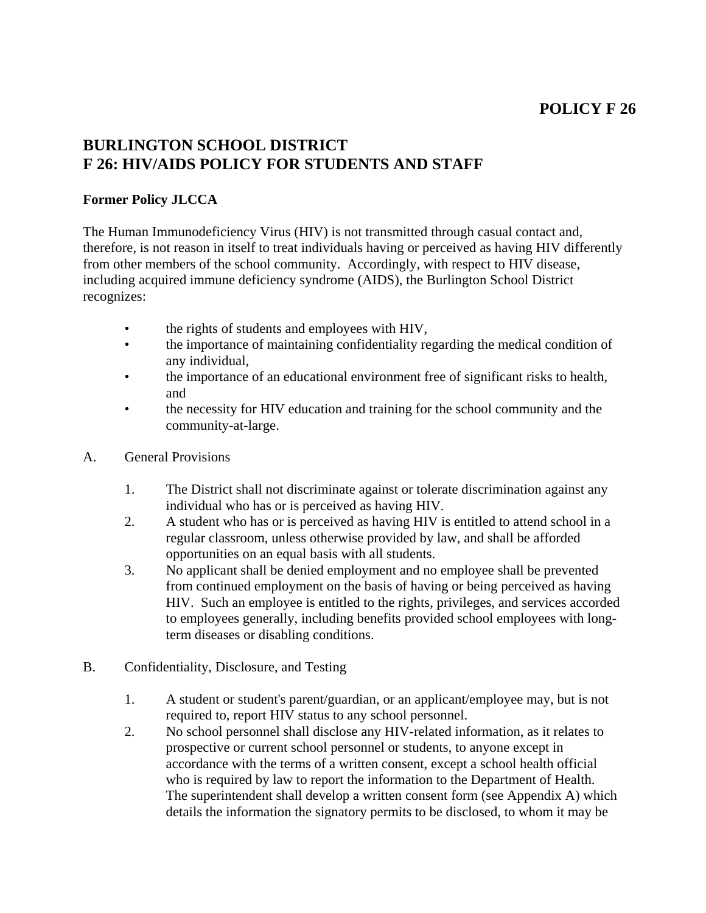# **POLICY F 26**

# **BURLINGTON SCHOOL DISTRICT F 26: HIV/AIDS POLICY FOR STUDENTS AND STAFF**

### **Former Policy JLCCA**

The Human Immunodeficiency Virus (HIV) is not transmitted through casual contact and, therefore, is not reason in itself to treat individuals having or perceived as having HIV differently from other members of the school community. Accordingly, with respect to HIV disease, including acquired immune deficiency syndrome (AIDS), the Burlington School District recognizes:

- the rights of students and employees with HIV,
- the importance of maintaining confidentiality regarding the medical condition of any individual,
- the importance of an educational environment free of significant risks to health, and
- the necessity for HIV education and training for the school community and the community-at-large.
- A. General Provisions
	- 1. The District shall not discriminate against or tolerate discrimination against any individual who has or is perceived as having HIV.
	- 2. A student who has or is perceived as having HIV is entitled to attend school in a regular classroom, unless otherwise provided by law, and shall be afforded opportunities on an equal basis with all students.
	- 3. No applicant shall be denied employment and no employee shall be prevented from continued employment on the basis of having or being perceived as having HIV. Such an employee is entitled to the rights, privileges, and services accorded to employees generally, including benefits provided school employees with longterm diseases or disabling conditions.
- B. Confidentiality, Disclosure, and Testing
	- 1. A student or student's parent/guardian, or an applicant/employee may, but is not required to, report HIV status to any school personnel.
	- 2. No school personnel shall disclose any HIV-related information, as it relates to prospective or current school personnel or students, to anyone except in accordance with the terms of a written consent, except a school health official who is required by law to report the information to the Department of Health. The superintendent shall develop a written consent form (see Appendix A) which details the information the signatory permits to be disclosed, to whom it may be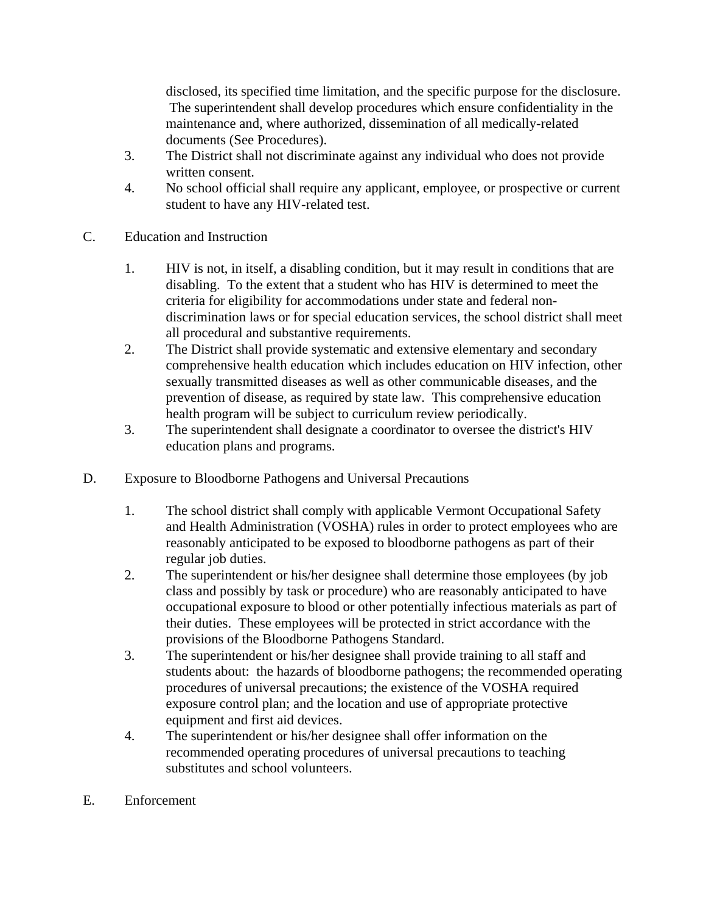disclosed, its specified time limitation, and the specific purpose for the disclosure. The superintendent shall develop procedures which ensure confidentiality in the maintenance and, where authorized, dissemination of all medically-related documents (See Procedures).

- 3. The District shall not discriminate against any individual who does not provide written consent.
- 4. No school official shall require any applicant, employee, or prospective or current student to have any HIV-related test.
- C. Education and Instruction
	- 1. HIV is not, in itself, a disabling condition, but it may result in conditions that are disabling. To the extent that a student who has HIV is determined to meet the criteria for eligibility for accommodations under state and federal nondiscrimination laws or for special education services, the school district shall meet all procedural and substantive requirements.
	- 2. The District shall provide systematic and extensive elementary and secondary comprehensive health education which includes education on HIV infection, other sexually transmitted diseases as well as other communicable diseases, and the prevention of disease, as required by state law. This comprehensive education health program will be subject to curriculum review periodically.
	- 3. The superintendent shall designate a coordinator to oversee the district's HIV education plans and programs.
- D. Exposure to Bloodborne Pathogens and Universal Precautions
	- 1. The school district shall comply with applicable Vermont Occupational Safety and Health Administration (VOSHA) rules in order to protect employees who are reasonably anticipated to be exposed to bloodborne pathogens as part of their regular job duties.
	- 2. The superintendent or his/her designee shall determine those employees (by job class and possibly by task or procedure) who are reasonably anticipated to have occupational exposure to blood or other potentially infectious materials as part of their duties. These employees will be protected in strict accordance with the provisions of the Bloodborne Pathogens Standard.
	- 3. The superintendent or his/her designee shall provide training to all staff and students about: the hazards of bloodborne pathogens; the recommended operating procedures of universal precautions; the existence of the VOSHA required exposure control plan; and the location and use of appropriate protective equipment and first aid devices.
	- 4. The superintendent or his/her designee shall offer information on the recommended operating procedures of universal precautions to teaching substitutes and school volunteers.
- E. Enforcement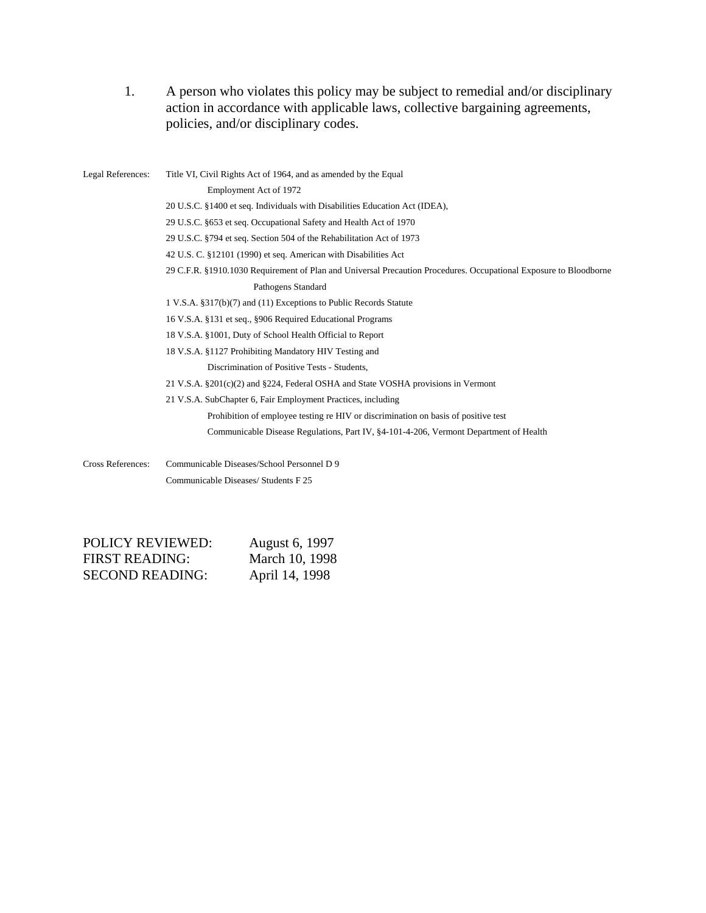1. A person who violates this policy may be subject to remedial and/or disciplinary action in accordance with applicable laws, collective bargaining agreements, policies, and/or disciplinary codes.

| Legal References:        | Title VI, Civil Rights Act of 1964, and as amended by the Equal                                                   |
|--------------------------|-------------------------------------------------------------------------------------------------------------------|
|                          | Employment Act of 1972                                                                                            |
|                          | 20 U.S.C. §1400 et seq. Individuals with Disabilities Education Act (IDEA),                                       |
|                          | 29 U.S.C. §653 et seq. Occupational Safety and Health Act of 1970                                                 |
|                          | 29 U.S.C. §794 et seq. Section 504 of the Rehabilitation Act of 1973                                              |
|                          | 42 U.S. C. §12101 (1990) et seq. American with Disabilities Act                                                   |
|                          | 29 C.F.R. §1910.1030 Requirement of Plan and Universal Precaution Procedures. Occupational Exposure to Bloodborne |
|                          | Pathogens Standard                                                                                                |
|                          | 1 V.S.A. §317(b)(7) and (11) Exceptions to Public Records Statute                                                 |
|                          | 16 V.S.A. §131 et seq., §906 Required Educational Programs                                                        |
|                          | 18 V.S.A. §1001, Duty of School Health Official to Report                                                         |
|                          | 18 V.S.A. §1127 Prohibiting Mandatory HIV Testing and                                                             |
|                          | Discrimination of Positive Tests - Students,                                                                      |
|                          | 21 V.S.A. $\S 201(c)(2)$ and $\S 224$ , Federal OSHA and State VOSHA provisions in Vermont                        |
|                          | 21 V.S.A. SubChapter 6, Fair Employment Practices, including                                                      |
|                          | Prohibition of employee testing re HIV or discrimination on basis of positive test                                |
|                          | Communicable Disease Regulations, Part IV, §4-101-4-206, Vermont Department of Health                             |
| <b>Cross References:</b> | Communicable Diseases/School Personnel D 9                                                                        |
|                          | Communicable Diseases/ Students F 25                                                                              |

| <b>POLICY REVIEWED:</b> | August 6, 1997 |
|-------------------------|----------------|
| <b>FIRST READING:</b>   | March 10, 1998 |
| <b>SECOND READING:</b>  | April 14, 1998 |